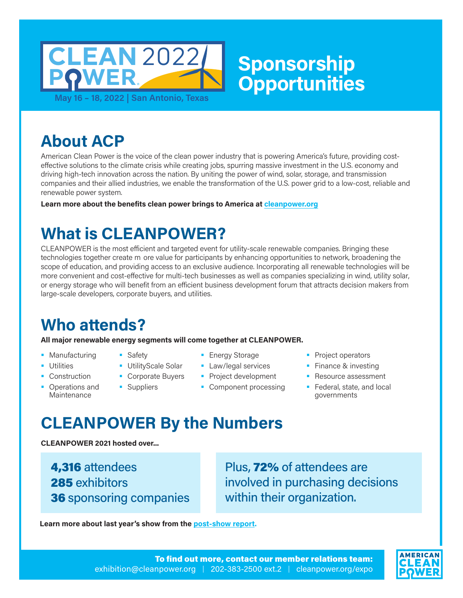

**About ACP**

American Clean Power is the voice of the clean power industry that is powering America's future, providing costeffective solutions to the climate crisis while creating jobs, spurring massive investment in the U.S. economy and driving high-tech innovation across the nation. By uniting the power of wind, solar, storage, and transmission companies and their allied industries, we enable the transformation of the U.S. power grid to a low-cost, reliable and renewable power system.

**Learn more about the benefits clean power brings to America at [cleanpower.org](https://cleanpower.org/)**

# **What is CLEANPOWER?**

**Safety** 

**Suppliers** 

CLEANPOWER is the most efficient and targeted event for utility-scale renewable companies. Bringing these technologies together createT more value for participants by enhancing opportunities to network, broadening the scope of education, and providing access to an exclusive audience. Incorporating all renewable technologies will be more convenient and cost-effective for multi-tech businesses as well as companies specializing in wind, utility solar, or energy storage who will benefit from an efficient business development forum that attracts decision makers from large-scale developers, corporate buyers, and utilities.

# **Who attends?**

**All major renewable energy segments will come together at CLEANPOWER.**

- **Manufacturing**
- **Utilities**
- Construction
- **•** Operations and **Maintenance**
- **Energy Storage**
- **UtilityScale Solar Corporate Buyers Law/legal services** 
	- **Project development** 
		- Component processing
- **Project operators**
- **Finance & investing**
- **Resource assessment**
- **Federal, state, and local** governments

# **CLEANPOWER By the Numbers**

**CLEANPOWER 2021 hosted over...**

4,316 attendees 285 exhibitors 36 sponsoring companies Plus, 72% of attendees are involved in purchasing decisions within their organization.

**Learn more about last year's show from the [post-show report.](https://cleanpower.org/expo/2021-stats/)** 

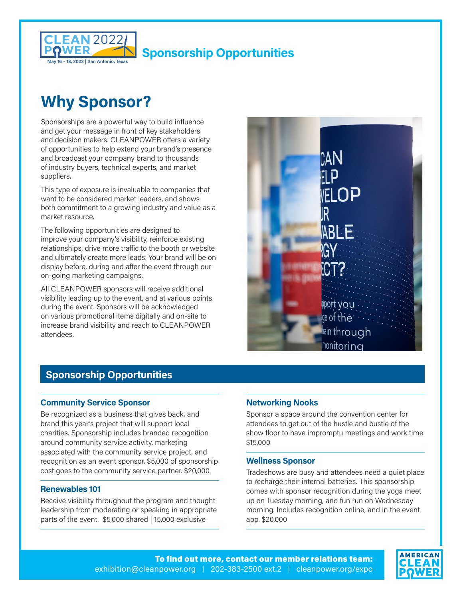

# **Why Sponsor?**

Sponsorships are a powerful way to build influence and get your message in front of key stakeholders and decision makers. CLEANPOWER offers a variety of opportunities to help extend your brand's presence and broadcast your company brand to thousands of industry buyers, technical experts, and market suppliers.

This type of exposure is invaluable to companies that want to be considered market leaders, and shows both commitment to a growing industry and value as a market resource.

The following opportunities are designed to improve your company's visibility, reinforce existing relationships, drive more traffic to the booth or website and ultimately create more leads. Your brand will be on display before, during and after the event through our on-going marketing campaigns.

All CLEANPOWER sponsors will receive additional visibility leading up to the event, and at various points during the event. Sponsors will be acknowledged on various promotional items digitally and on-site to increase brand visibility and reach to CLEANPOWER attendees.



## **Sponsorship Opportunities**

## **Community Service Sponsor**

Be recognized as a business that gives back, and brand this year's project that will support local charities. Sponsorship includes branded recognition around community service activity, marketing associated with the community service project, and recognition as an event sponsor. \$5,000 of sponsorship cost goes to the community service partner. \$20,000

#### **Renewables 101**

Receive visibility throughout the program and thought leadership from moderating or speaking in appropriate parts of the event. \$5,000 shared | 15,000 exclusive

## **Networking Nooks**

Sponsor a space around the convention center for attendees to get out of the hustle and bustle of the show floor to have impromptu meetings and work time. \$15,000

## **Wellness Sponsor**

Tradeshows are busy and attendees need a quiet place to recharge their internal batteries. This sponsorship comes with sponsor recognition during the yoga meet up on Tuesday morning, and fun run on Wednesday morning. Includes recognition online, and in the event app. \$20,000

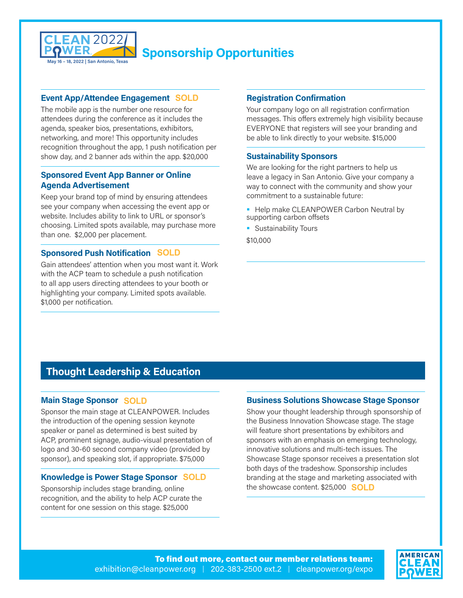

## **Event App/Attendee Engagement SOLD**

The mobile app is the number one resource for attendees during the conference as it includes the agenda, speaker bios, presentations, exhibitors, networking, and more! This opportunity includes recognition throughout the app, 1 push notification per show day, and 2 banner ads within the app. \$20,000

## **Sponsored Event App Banner or Online Agenda Advertisement**

Keep your brand top of mind by ensuring attendees see your company when accessing the event app or website. Includes ability to link to URL or sponsor's choosing. Limited spots available, may purchase more than one. \$2,000 per placement.

## **Sponsored Push Notification SOLD**

Gain attendees' attention when you most want it. Work with the ACP team to schedule a push notification to all app users directing attendees to your booth or highlighting your company. Limited spots available. \$1,000 per notification.

## **Registration Confirmation**

Your company logo on all registration confirmation messages. This offers extremely high visibility because EVERYONE that registers will see your branding and be able to link directly to your website. \$15,000

#### **Sustainability Sponsors**

We are looking for the right partners to help us leave a legacy in San Antonio. Give your company a way to connect with the community and show your commitment to a sustainable future:

- **Help make CLEANPOWER Carbon Neutral by** supporting carbon offsets
- **Sustainability Tours**

\$10,000

## **Thought Leadership & Education**

## **Main Stage Sponsor SOLD**

Sponsor the main stage at CLEANPOWER. Includes the introduction of the opening session keynote speaker or panel as determined is best suited by ACP, prominent signage, audio-visual presentation of logo and 30-60 second company video (provided by sponsor), and speaking slot, if appropriate. \$75,000

### **Knowledge is Power Stage Sponsor SOLD**

Sponsorship includes stage branding, online recognition, and the ability to help ACP curate the content for one session on this stage. \$25,000

#### **Business Solutions Showcase Stage Sponsor**

Show your thought leadership through sponsorship of the Business Innovation Showcase stage. The stage will feature short presentations by exhibitors and sponsors with an emphasis on emerging technology, innovative solutions and multi-tech issues. The Showcase Stage sponsor receives a presentation slot both days of the tradeshow. Sponsorship includes branding at the stage and marketing associated with the showcase content. \$25,000 **SOLD**

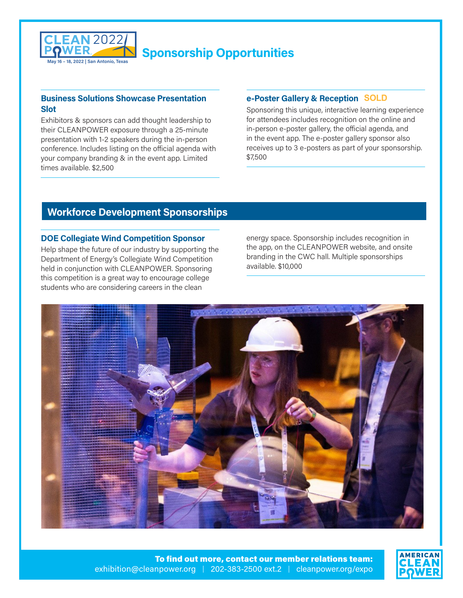

## **Business Solutions Showcase Presentation Slot**

Exhibitors & sponsors can add thought leadership to their CLEANPOWER exposure through a 25-minute presentation with 1-2 speakers during the in-person conference. Includes listing on the official agenda with your company branding & in the event app. Limited times available. \$2,500

## **e-Poster Gallery & Reception SOLD**

Sponsoring this unique, interactive learning experience for attendees includes recognition on the online and in-person e-poster gallery, the official agenda, and in the event app. The e-poster gallery sponsor also receives up to 3 e-posters as part of your sponsorship. \$7,500

## **Workforce Development Sponsorships**

## **DOE Collegiate Wind Competition Sponsor**

Help shape the future of our industry by supporting the Department of Energy's Collegiate Wind Competition held in conjunction with CLEANPOWER. Sponsoring this competition is a great way to encourage college students who are considering careers in the clean

energy space. Sponsorship includes recognition in the app, on the CLEANPOWER website, and onsite branding in the CWC hall. Multiple sponsorships available. \$10,000



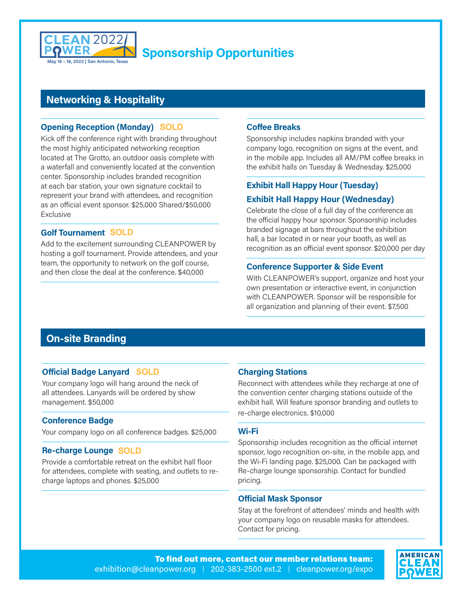

## **Networking & Hospitality**

## **Opening Reception (Monday) SOLD**

Kick off the conference right with branding throughout the most highly anticipated networking reception located at The Grotto, an outdoor oasis complete with a waterfall and conveniently located at the convention center. Sponsorship includes branded recognition at each bar station, your own signature cocktail to represent your brand with attendees, and recognition as an official event sponsor. \$25,000 Shared/\$50,000 Exclusive

## **Golf Tournament SOLD**

Add to the excitement surrounding CLEANPOWER by hosting a golf tournament. Provide attendees, and your team, the opportunity to network on the golf course, and then close the deal at the conference. \$40,000

## **Coffee Breaks**

Sponsorship includes napkins branded with your company logo, recognition on signs at the event, and in the mobile app. Includes all AM/PM coffee breaks in the exhibit halls on Tuesday & Wednesday. \$25,000

## **Exhibit Hall Happy Hour (Tuesday)**

## **Exhibit Hall Happy Hour (Wednesday)**

Celebrate the close of a full day of the conference as the official happy hour sponsor. Sponsorship includes branded signage at bars throughout the exhibition hall, a bar located in or near your booth, as well as recognition as an official event sponsor. \$20,000 per day

## **Conference Supporter & Side Event**

With CLEANPOWER's support, organize and host your own presentation or interactive event, in conjunction with CLEANPOWER. Sponsor will be responsible for all organization and planning of their event. \$7,500

## **On-site Branding**

## **Official Badge Lanyard SOLD**

Your company logo will hang around the neck of all attendees. Lanyards will be ordered by show management. \$50,000

#### **Conference Badge**

Your company logo on all conference badges. \$25,000

## **Re-charge Lounge SOLD**

Provide a comfortable retreat on the exhibit hall floor for attendees, complete with seating, and outlets to recharge laptops and phones. \$25,000

## **Charging Stations**

Reconnect with attendees while they recharge at one of the convention center charging stations outside of the exhibit hall. Will feature sponsor branding and outlets to re-charge electronics. \$10,000

#### **Wi-Fi**

Sponsorship includes recognition as the official internet sponsor, logo recognition on-site, in the mobile app, and the Wi-Fi landing page. \$25,000. Can be packaged with Re-charge lounge sponsorship. Contact for bundled pricing.

#### **Official Mask Sponsor**

Stay at the forefront of attendees' minds and health with your company logo on reusable masks for attendees. Contact for pricing.